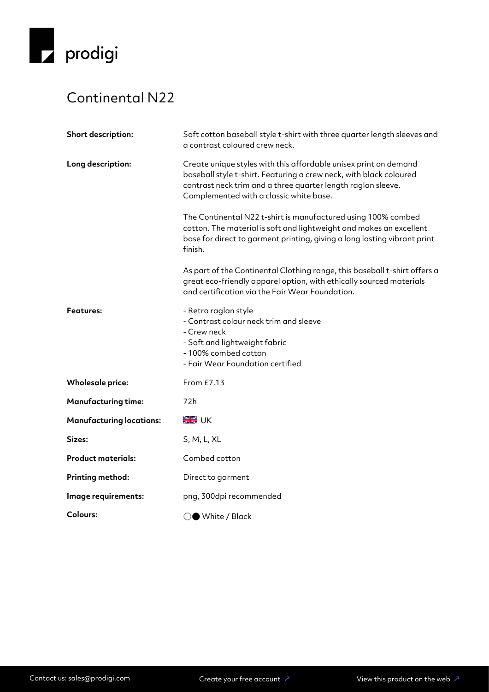

## Continental N22

| Short description:              | Soft cotton baseball style t-shirt with three quarter length sleeves and<br>a contrast coloured crew neck.                                                                                                                                        |
|---------------------------------|---------------------------------------------------------------------------------------------------------------------------------------------------------------------------------------------------------------------------------------------------|
| Long description:               | Create unique styles with this affordable unisex print on demand<br>baseball style t-shirt. Featuring a crew neck, with black coloured<br>contrast neck trim and a three quarter length raglan sleeve.<br>Complemented with a classic white base. |
|                                 | The Continental N22 t-shirt is manufactured using 100% combed<br>cotton. The material is soft and lightweight and makes an excellent<br>base for direct to garment printing, giving a long lasting vibrant print<br>finish.                       |
|                                 | As part of the Continental Clothing range, this baseball t-shirt offers a<br>great eco-friendly apparel option, with ethically sourced materials<br>and certification via the Fair Wear Foundation.                                               |
| <b>Features:</b>                | - Retro raglan style<br>- Contrast colour neck trim and sleeve<br>- Crew neck<br>- Soft and lightweight fabric<br>- 100% combed cotton<br>- Fair Wear Foundation certified                                                                        |
| <b>Wholesale price:</b>         | From £7.13                                                                                                                                                                                                                                        |
| <b>Manufacturing time:</b>      | 72h                                                                                                                                                                                                                                               |
| <b>Manufacturing locations:</b> | <b>SK</b> UK                                                                                                                                                                                                                                      |
| Sizes:                          | S, M, L, XL                                                                                                                                                                                                                                       |
| <b>Product materials:</b>       | Combed cotton                                                                                                                                                                                                                                     |
| Printing method:                | Direct to garment                                                                                                                                                                                                                                 |
| Image requirements:             | png, 300dpi recommended                                                                                                                                                                                                                           |
| <b>Colours:</b>                 | )● White / Black                                                                                                                                                                                                                                  |